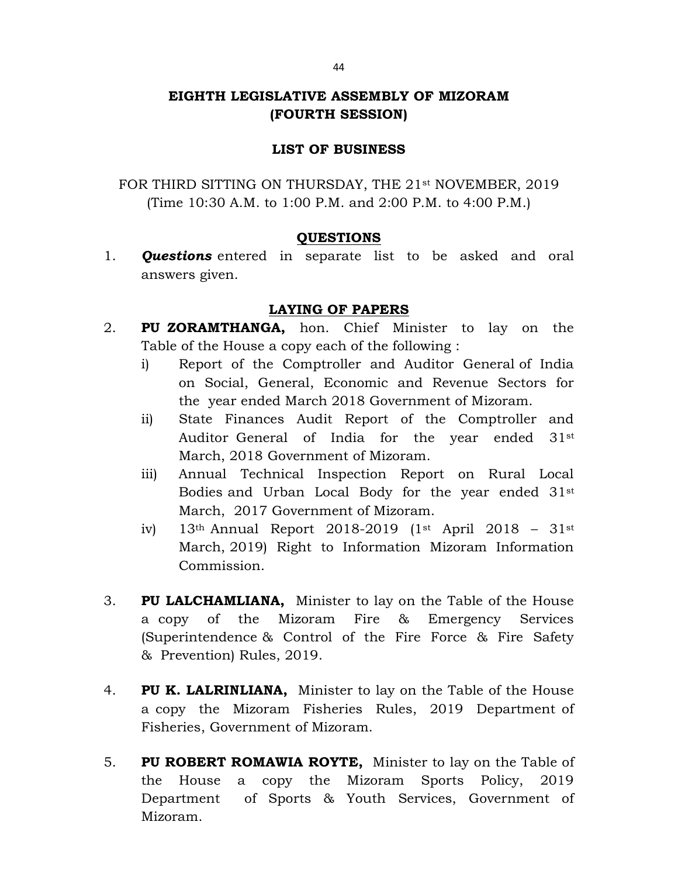## EIGHTH LEGISLATIVE ASSEMBLY OF MIZORAM (FOURTH SESSION)

## LIST OF BUSINESS

FOR THIRD SITTING ON THURSDAY, THE 21<sup>st</sup> NOVEMBER, 2019 (Time 10:30 A.M. to 1:00 P.M. and 2:00 P.M. to 4:00 P.M.)

## QUESTIONS

1. **Questions** entered in separate list to be asked and oral answers given.

## LAYING OF PAPERS

- 2. PU ZORAMTHANGA, hon. Chief Minister to lay on the Table of the House a copy each of the following :
	- i) Report of the Comptroller and Auditor General of India on Social, General, Economic and Revenue Sectors for the year ended March 2018 Government of Mizoram.
	- ii) State Finances Audit Report of the Comptroller and Auditor General of India for the year ended 31st March, 2018 Government of Mizoram.
	- iii) Annual Technical Inspection Report on Rural Local Bodies and Urban Local Body for the year ended 31st March, 2017 Government of Mizoram.
	- iv) 13th Annual Report 2018-2019 (1st April 2018 31st March, 2019) Right to Information Mizoram Information Commission.
- 3. PU LALCHAMLIANA, Minister to lay on the Table of the House a copy of the Mizoram Fire & Emergency Services (Superintendence & Control of the Fire Force & Fire Safety & Prevention) Rules, 2019.
- 4. PU K. LALRINLIANA, Minister to lay on the Table of the House a copy the Mizoram Fisheries Rules, 2019 Department of Fisheries, Government of Mizoram.
- 5. PU ROBERT ROMAWIA ROYTE, Minister to lay on the Table of the House a copy the Mizoram Sports Policy, 2019 Department of Sports & Youth Services, Government of Mizoram.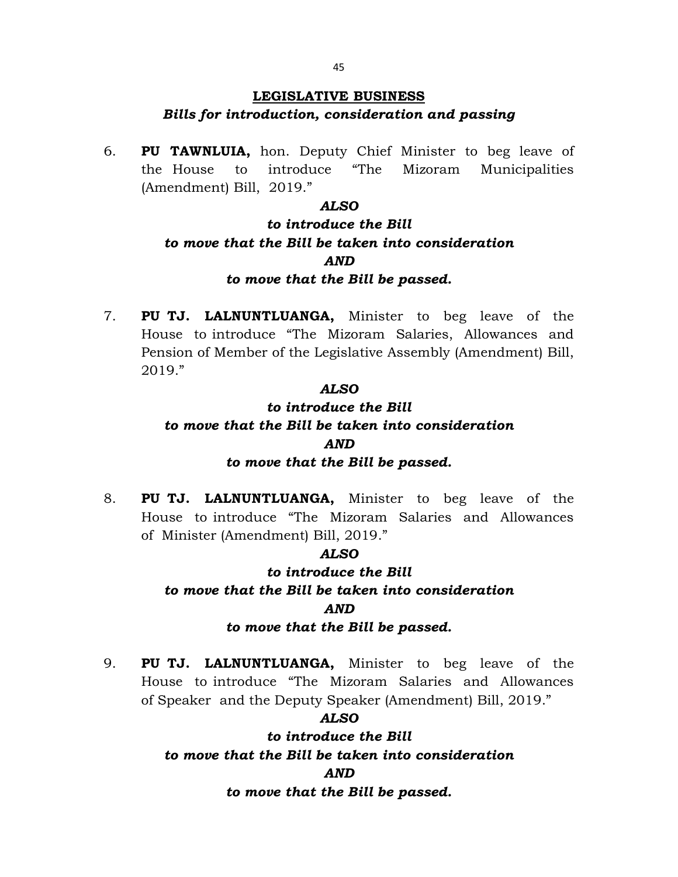## LEGISLATIVE BUSINESS

## Bills for introduction, consideration and passing

6. PU TAWNLUIA, hon. Deputy Chief Minister to beg leave of the House to introduce "The Mizoram Municipalities (Amendment) Bill, 2019."

## ALSO

# to introduce the Bill to move that the Bill be taken into consideration AND to move that the Bill be passed.

7. PU TJ. LALNUNTLUANGA, Minister to beg leave of the House to introduce "The Mizoram Salaries, Allowances and Pension of Member of the Legislative Assembly (Amendment) Bill, 2019."

## ALSO

# to introduce the Bill to move that the Bill be taken into consideration AND to move that the Bill be passed.

8. **PU TJ. LALNUNTLUANGA,** Minister to beg leave of the House to introduce "The Mizoram Salaries and Allowances of Minister (Amendment) Bill, 2019."

## ALSO

## to introduce the Bill

# to move that the Bill be taken into consideration AND

## to move that the Bill be passed.

9. PU TJ. LALNUNTLUANGA, Minister to beg leave of the House to introduce "The Mizoram Salaries and Allowances of Speaker and the Deputy Speaker (Amendment) Bill, 2019."

## ALSO

to introduce the Bill to move that the Bill be taken into consideration AND

### to move that the Bill be passed.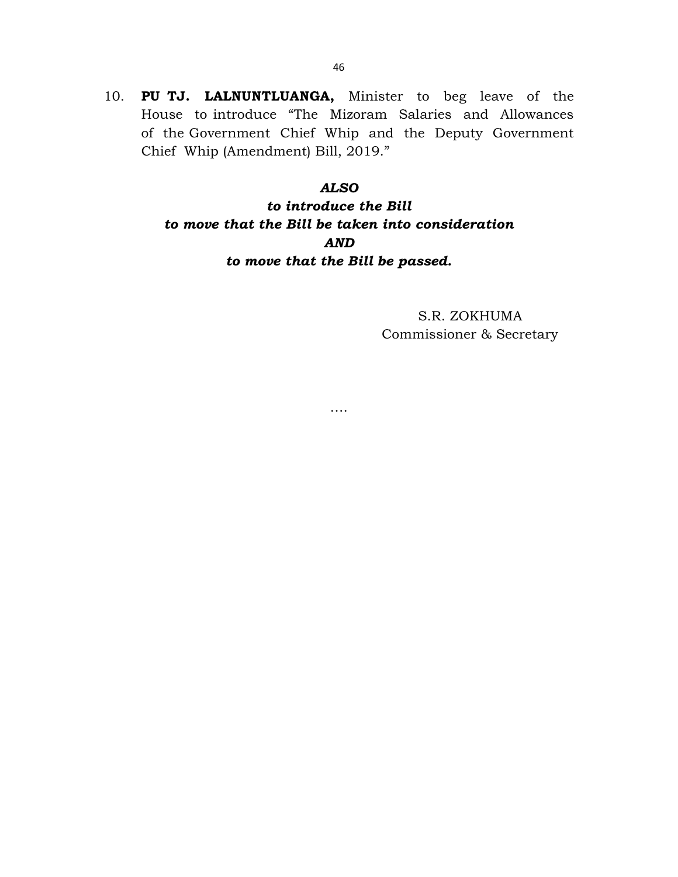10. PU TJ. LALNUNTLUANGA, Minister to beg leave of the House to introduce "The Mizoram Salaries and Allowances of the Government Chief Whip and the Deputy Government Chief Whip (Amendment) Bill, 2019."

#### ALSO

to introduce the Bill to move that the Bill be taken into consideration AND to move that the Bill be passed.

….

S.R. ZOKHUMA Commissioner & Secretary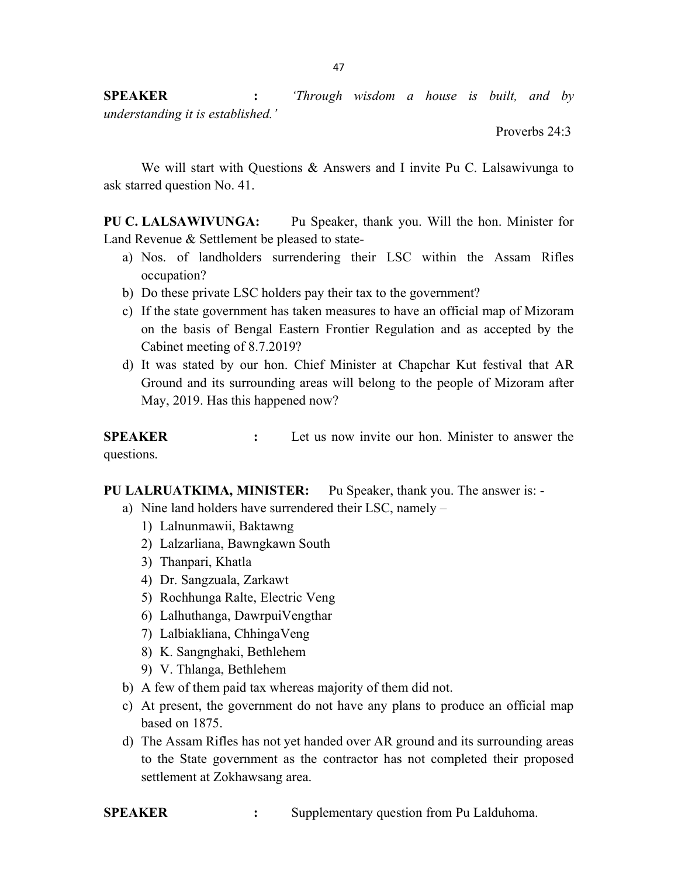**SPEAKER** : 'Through wisdom a house is built, and by understanding it is established.'

Proverbs 24:3

We will start with Questions & Answers and I invite Pu C. Lalsawivunga to ask starred question No. 41.

PU C. LALSAWIVUNGA: Pu Speaker, thank you. Will the hon. Minister for Land Revenue & Settlement be pleased to state-

- a) Nos. of landholders surrendering their LSC within the Assam Rifles occupation?
- b) Do these private LSC holders pay their tax to the government?
- c) If the state government has taken measures to have an official map of Mizoram on the basis of Bengal Eastern Frontier Regulation and as accepted by the Cabinet meeting of 8.7.2019?
- d) It was stated by our hon. Chief Minister at Chapchar Kut festival that AR Ground and its surrounding areas will belong to the people of Mizoram after May, 2019. Has this happened now?

SPEAKER : Let us now invite our hon. Minister to answer the questions.

PU LALRUATKIMA, MINISTER: Pu Speaker, thank you. The answer is: -

- a) Nine land holders have surrendered their LSC, namely
	- 1) Lalnunmawii, Baktawng
	- 2) Lalzarliana, Bawngkawn South
	- 3) Thanpari, Khatla
	- 4) Dr. Sangzuala, Zarkawt
	- 5) Rochhunga Ralte, Electric Veng
	- 6) Lalhuthanga, DawrpuiVengthar
	- 7) Lalbiakliana, ChhingaVeng
	- 8) K. Sangnghaki, Bethlehem
	- 9) V. Thlanga, Bethlehem
- b) A few of them paid tax whereas majority of them did not.
- c) At present, the government do not have any plans to produce an official map based on 1875.
- d) The Assam Rifles has not yet handed over AR ground and its surrounding areas to the State government as the contractor has not completed their proposed settlement at Zokhawsang area.

SPEAKER : Supplementary question from Pu Lalduhoma.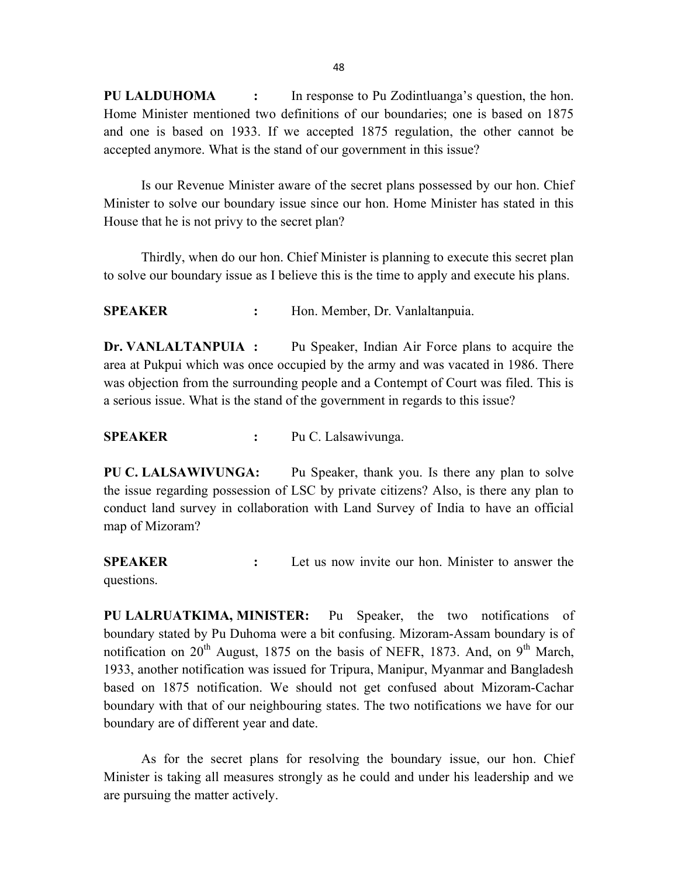PU LALDUHOMA : In response to Pu Zodintluanga's question, the hon. Home Minister mentioned two definitions of our boundaries; one is based on 1875 and one is based on 1933. If we accepted 1875 regulation, the other cannot be accepted anymore. What is the stand of our government in this issue?

 Is our Revenue Minister aware of the secret plans possessed by our hon. Chief Minister to solve our boundary issue since our hon. Home Minister has stated in this House that he is not privy to the secret plan?

 Thirdly, when do our hon. Chief Minister is planning to execute this secret plan to solve our boundary issue as I believe this is the time to apply and execute his plans.

SPEAKER : Hon. Member, Dr. Vanlaltanpuia.

Dr. VANLALTANPUIA : Pu Speaker, Indian Air Force plans to acquire the area at Pukpui which was once occupied by the army and was vacated in 1986. There was objection from the surrounding people and a Contempt of Court was filed. This is a serious issue. What is the stand of the government in regards to this issue?

SPEAKER : Pu C. Lalsawivunga.

PU C. LALSAWIVUNGA: Pu Speaker, thank you. Is there any plan to solve the issue regarding possession of LSC by private citizens? Also, is there any plan to conduct land survey in collaboration with Land Survey of India to have an official map of Mizoram?

SPEAKER : Let us now invite our hon. Minister to answer the questions.

PU LALRUATKIMA, MINISTER: Pu Speaker, the two notifications of boundary stated by Pu Duhoma were a bit confusing. Mizoram-Assam boundary is of notification on  $20^{th}$  August, 1875 on the basis of NEFR, 1873. And, on  $9^{th}$  March, 1933, another notification was issued for Tripura, Manipur, Myanmar and Bangladesh based on 1875 notification. We should not get confused about Mizoram-Cachar boundary with that of our neighbouring states. The two notifications we have for our boundary are of different year and date.

 As for the secret plans for resolving the boundary issue, our hon. Chief Minister is taking all measures strongly as he could and under his leadership and we are pursuing the matter actively.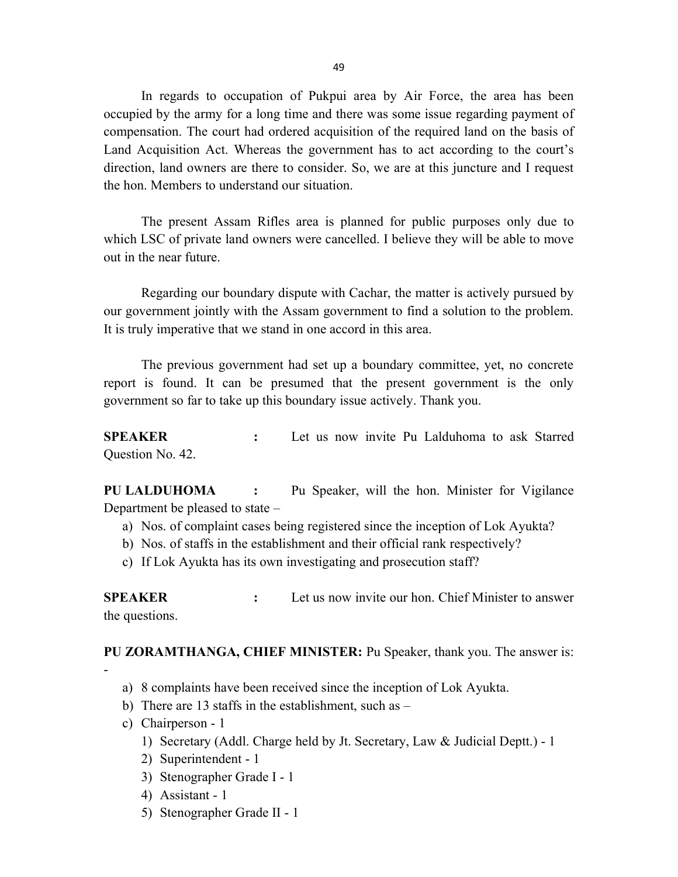49

 In regards to occupation of Pukpui area by Air Force, the area has been occupied by the army for a long time and there was some issue regarding payment of compensation. The court had ordered acquisition of the required land on the basis of Land Acquisition Act. Whereas the government has to act according to the court's direction, land owners are there to consider. So, we are at this juncture and I request the hon. Members to understand our situation.

 The present Assam Rifles area is planned for public purposes only due to which LSC of private land owners were cancelled. I believe they will be able to move out in the near future.

 Regarding our boundary dispute with Cachar, the matter is actively pursued by our government jointly with the Assam government to find a solution to the problem. It is truly imperative that we stand in one accord in this area.

 The previous government had set up a boundary committee, yet, no concrete report is found. It can be presumed that the present government is the only government so far to take up this boundary issue actively. Thank you.

SPEAKER : Let us now invite Pu Lalduhoma to ask Starred Question No. 42.

PU LALDUHOMA : Pu Speaker, will the hon. Minister for Vigilance Department be pleased to state –

- a) Nos. of complaint cases being registered since the inception of Lok Ayukta?
- b) Nos. of staffs in the establishment and their official rank respectively?
- c) If Lok Ayukta has its own investigating and prosecution staff?

SPEAKER : Let us now invite our hon. Chief Minister to answer the questions.

PU ZORAMTHANGA, CHIEF MINISTER: Pu Speaker, thank you. The answer is:

- -
- a) 8 complaints have been received since the inception of Lok Ayukta.
- b) There are 13 staffs in the establishment, such as  $-$
- c) Chairperson 1
	- 1) Secretary (Addl. Charge held by Jt. Secretary, Law & Judicial Deptt.) 1
	- 2) Superintendent 1
	- 3) Stenographer Grade I 1
	- 4) Assistant 1
	- 5) Stenographer Grade II 1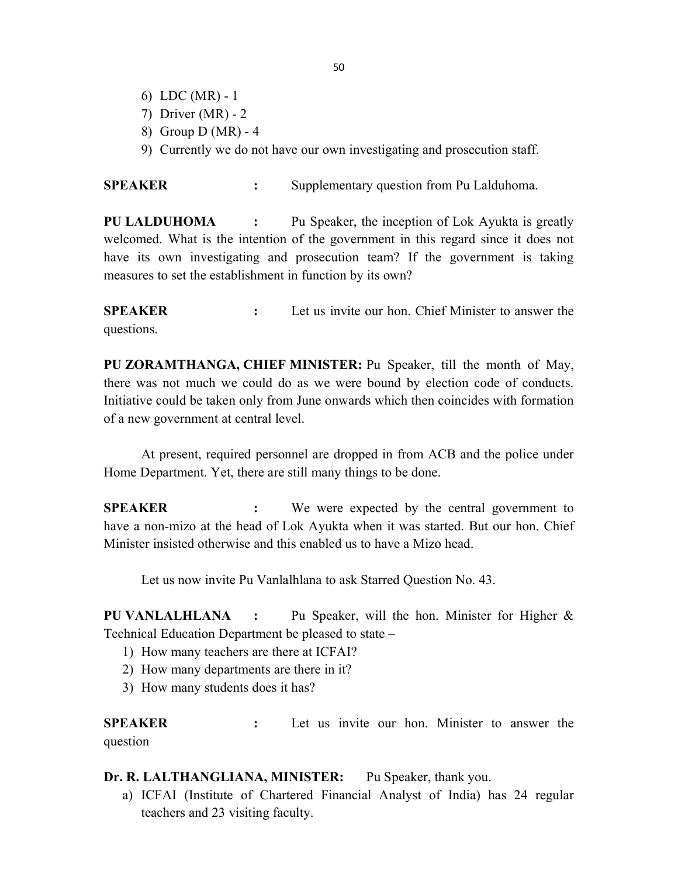- 6) LDC (MR) 1
- 7) Driver (MR) 2
- 8) Group D (MR) 4
- 9) Currently we do not have our own investigating and prosecution staff.

SPEAKER : Supplementary question from Pu Lalduhoma.

PU LALDUHOMA : Pu Speaker, the inception of Lok Ayukta is greatly welcomed. What is the intention of the government in this regard since it does not have its own investigating and prosecution team? If the government is taking measures to set the establishment in function by its own?

SPEAKER : Let us invite our hon. Chief Minister to answer the questions.

PU ZORAMTHANGA, CHIEF MINISTER: Pu Speaker, till the month of May, there was not much we could do as we were bound by election code of conducts. Initiative could be taken only from June onwards which then coincides with formation of a new government at central level.

 At present, required personnel are dropped in from ACB and the police under Home Department. Yet, there are still many things to be done.

SPEAKER : We were expected by the central government to have a non-mizo at the head of Lok Ayukta when it was started. But our hon. Chief Minister insisted otherwise and this enabled us to have a Mizo head.

Let us now invite Pu Vanlalhlana to ask Starred Question No. 43.

PU VANLALHLANA : Pu Speaker, will the hon. Minister for Higher & Technical Education Department be pleased to state –

- 1) How many teachers are there at ICFAI?
- 2) How many departments are there in it?
- 3) How many students does it has?

SPEAKER : Let us invite our hon. Minister to answer the question

### Dr. R. LALTHANGLIANA, MINISTER: Pu Speaker, thank you.

a) ICFAI (Institute of Chartered Financial Analyst of India) has 24 regular teachers and 23 visiting faculty.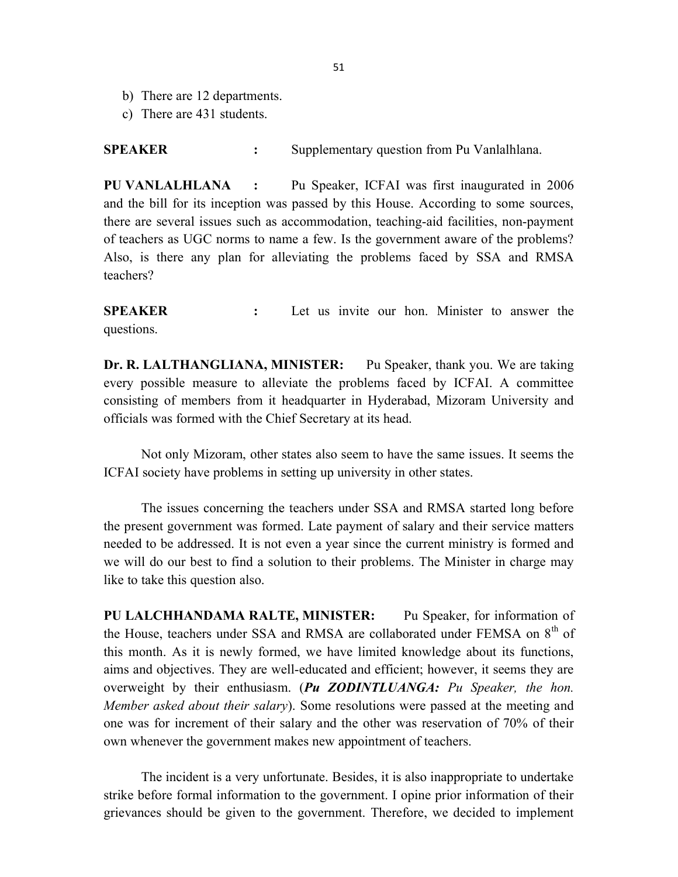- b) There are 12 departments.
- c) There are 431 students.

SPEAKER : Supplementary question from Pu Vanlalhlana.

PU VANLALHLANA : Pu Speaker, ICFAI was first inaugurated in 2006 and the bill for its inception was passed by this House. According to some sources, there are several issues such as accommodation, teaching-aid facilities, non-payment of teachers as UGC norms to name a few. Is the government aware of the problems? Also, is there any plan for alleviating the problems faced by SSA and RMSA teachers?

SPEAKER : Let us invite our hon. Minister to answer the questions.

Dr. R. LALTHANGLIANA, MINISTER: Pu Speaker, thank you. We are taking every possible measure to alleviate the problems faced by ICFAI. A committee consisting of members from it headquarter in Hyderabad, Mizoram University and officials was formed with the Chief Secretary at its head.

 Not only Mizoram, other states also seem to have the same issues. It seems the ICFAI society have problems in setting up university in other states.

 The issues concerning the teachers under SSA and RMSA started long before the present government was formed. Late payment of salary and their service matters needed to be addressed. It is not even a year since the current ministry is formed and we will do our best to find a solution to their problems. The Minister in charge may like to take this question also.

PU LALCHHANDAMA RALTE, MINISTER: Pu Speaker, for information of the House, teachers under SSA and RMSA are collaborated under FEMSA on 8<sup>th</sup> of this month. As it is newly formed, we have limited knowledge about its functions, aims and objectives. They are well-educated and efficient; however, it seems they are overweight by their enthusiasm. (Pu ZODINTLUANGA: Pu Speaker, the hon. Member asked about their salary). Some resolutions were passed at the meeting and one was for increment of their salary and the other was reservation of 70% of their own whenever the government makes new appointment of teachers.

The incident is a very unfortunate. Besides, it is also inappropriate to undertake strike before formal information to the government. I opine prior information of their grievances should be given to the government. Therefore, we decided to implement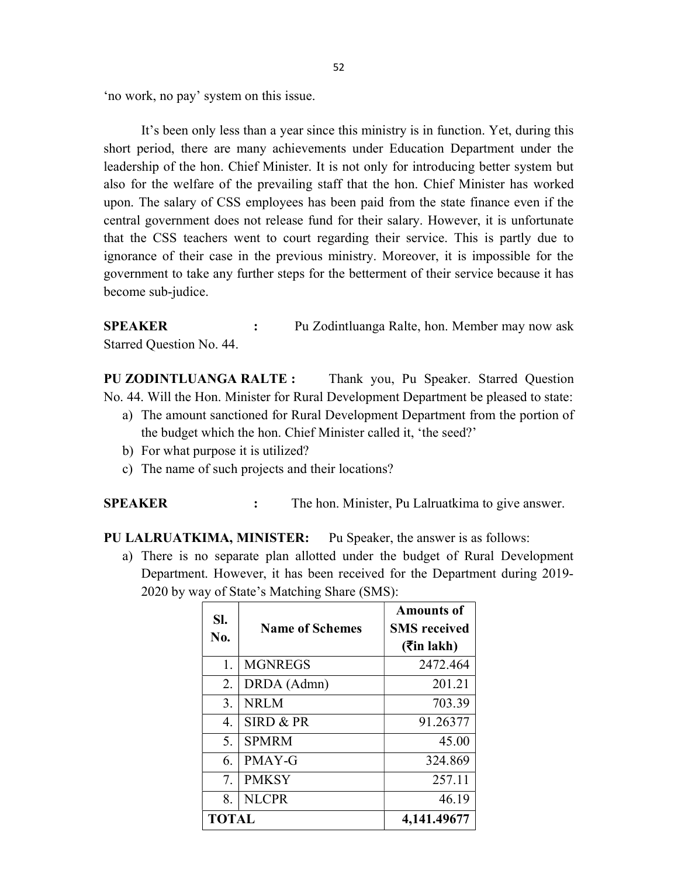'no work, no pay' system on this issue.

 It's been only less than a year since this ministry is in function. Yet, during this short period, there are many achievements under Education Department under the leadership of the hon. Chief Minister. It is not only for introducing better system but also for the welfare of the prevailing staff that the hon. Chief Minister has worked upon. The salary of CSS employees has been paid from the state finance even if the central government does not release fund for their salary. However, it is unfortunate that the CSS teachers went to court regarding their service. This is partly due to ignorance of their case in the previous ministry. Moreover, it is impossible for the government to take any further steps for the betterment of their service because it has become sub-judice.

SPEAKER : Pu Zodintluanga Ralte, hon. Member may now ask Starred Question No. 44.

PU ZODINTLUANGA RALTE : Thank you, Pu Speaker. Starred Question No. 44. Will the Hon. Minister for Rural Development Department be pleased to state:

- a) The amount sanctioned for Rural Development Department from the portion of the budget which the hon. Chief Minister called it, 'the seed?'
- b) For what purpose it is utilized?
- c) The name of such projects and their locations?

SPEAKER : The hon. Minister, Pu Lalruatkima to give answer.

PU LALRUATKIMA, MINISTER: Pu Speaker, the answer is as follows:

a) There is no separate plan allotted under the budget of Rural Development Department. However, it has been received for the Department during 2019- 2020 by way of State's Matching Share (SMS):

| SI.<br>No.   | <b>Name of Schemes</b> | <b>Amounts of</b><br><b>SMS</b> received<br>$($ <b>₹</b> in lakh) |
|--------------|------------------------|-------------------------------------------------------------------|
| 1.           | <b>MGNREGS</b>         | 2472.464                                                          |
| 2.           | DRDA (Admn)            | 201.21                                                            |
| 3.           | NRLM                   | 703.39                                                            |
| 4.           | SIRD & PR              | 91.26377                                                          |
| 5.           | <b>SPMRM</b>           | 45.00                                                             |
| 6.           | PMAY-G                 | 324.869                                                           |
| 7.           | <b>PMKSY</b>           | 257.11                                                            |
| 8.           | <b>NLCPR</b>           | 46.19                                                             |
| <b>TOTAL</b> |                        | 4,141.49677                                                       |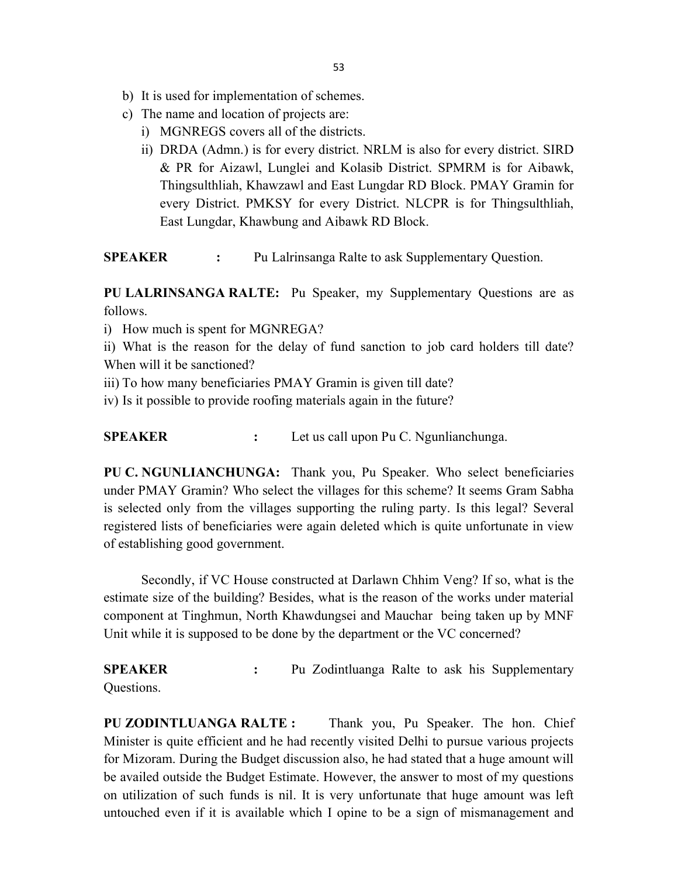- b) It is used for implementation of schemes.
- c) The name and location of projects are:
	- i) MGNREGS covers all of the districts.
	- ii) DRDA (Admn.) is for every district. NRLM is also for every district. SIRD & PR for Aizawl, Lunglei and Kolasib District. SPMRM is for Aibawk, Thingsulthliah, Khawzawl and East Lungdar RD Block. PMAY Gramin for every District. PMKSY for every District. NLCPR is for Thingsulthliah, East Lungdar, Khawbung and Aibawk RD Block.

SPEAKER : Pu Lalrinsanga Ralte to ask Supplementary Question.

PU LALRINSANGA RALTE: Pu Speaker, my Supplementary Questions are as follows.

- i) How much is spent for MGNREGA?
- ii) What is the reason for the delay of fund sanction to job card holders till date? When will it be sanctioned?
- iii) To how many beneficiaries PMAY Gramin is given till date?
- iv) Is it possible to provide roofing materials again in the future?

SPEAKER : Let us call upon Pu C. Ngunlianchunga.

PU C. NGUNLIANCHUNGA: Thank you, Pu Speaker. Who select beneficiaries under PMAY Gramin? Who select the villages for this scheme? It seems Gram Sabha is selected only from the villages supporting the ruling party. Is this legal? Several registered lists of beneficiaries were again deleted which is quite unfortunate in view of establishing good government.

 Secondly, if VC House constructed at Darlawn Chhim Veng? If so, what is the estimate size of the building? Besides, what is the reason of the works under material component at Tinghmun, North Khawdungsei and Mauchar being taken up by MNF Unit while it is supposed to be done by the department or the VC concerned?

SPEAKER : Pu Zodintluanga Ralte to ask his Supplementary Questions.

PU ZODINTLUANGA RALTE : Thank you, Pu Speaker. The hon. Chief Minister is quite efficient and he had recently visited Delhi to pursue various projects for Mizoram. During the Budget discussion also, he had stated that a huge amount will be availed outside the Budget Estimate. However, the answer to most of my questions on utilization of such funds is nil. It is very unfortunate that huge amount was left untouched even if it is available which I opine to be a sign of mismanagement and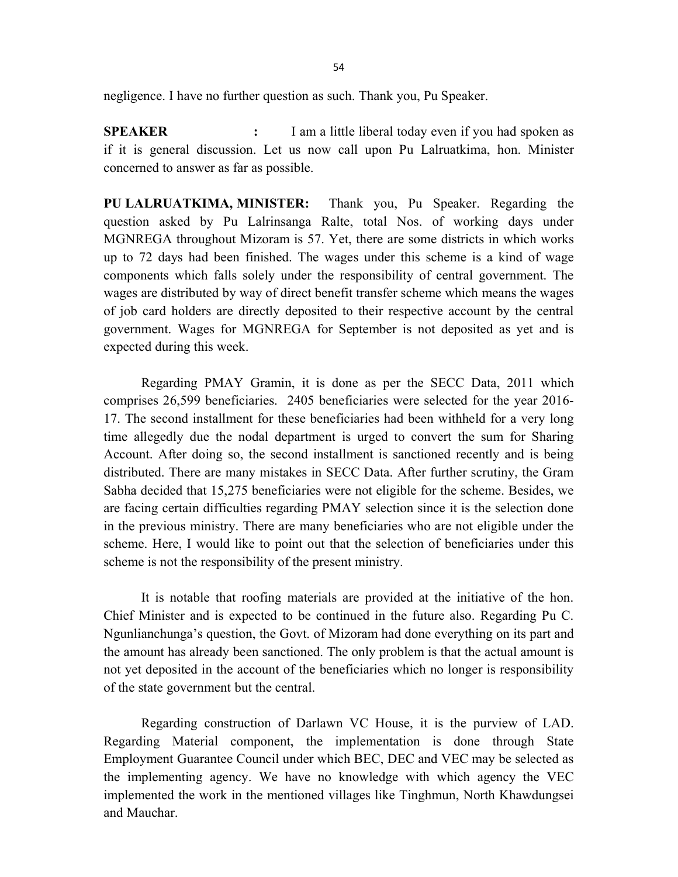negligence. I have no further question as such. Thank you, Pu Speaker.

SPEAKER : I am a little liberal today even if you had spoken as if it is general discussion. Let us now call upon Pu Lalruatkima, hon. Minister concerned to answer as far as possible.

PU LALRUATKIMA, MINISTER: Thank you, Pu Speaker. Regarding the question asked by Pu Lalrinsanga Ralte, total Nos. of working days under MGNREGA throughout Mizoram is 57. Yet, there are some districts in which works up to 72 days had been finished. The wages under this scheme is a kind of wage components which falls solely under the responsibility of central government. The wages are distributed by way of direct benefit transfer scheme which means the wages of job card holders are directly deposited to their respective account by the central government. Wages for MGNREGA for September is not deposited as yet and is expected during this week.

 Regarding PMAY Gramin, it is done as per the SECC Data, 2011 which comprises 26,599 beneficiaries. 2405 beneficiaries were selected for the year 2016- 17. The second installment for these beneficiaries had been withheld for a very long time allegedly due the nodal department is urged to convert the sum for Sharing Account. After doing so, the second installment is sanctioned recently and is being distributed. There are many mistakes in SECC Data. After further scrutiny, the Gram Sabha decided that 15,275 beneficiaries were not eligible for the scheme. Besides, we are facing certain difficulties regarding PMAY selection since it is the selection done in the previous ministry. There are many beneficiaries who are not eligible under the scheme. Here, I would like to point out that the selection of beneficiaries under this scheme is not the responsibility of the present ministry.

 It is notable that roofing materials are provided at the initiative of the hon. Chief Minister and is expected to be continued in the future also. Regarding Pu C. Ngunlianchunga's question, the Govt. of Mizoram had done everything on its part and the amount has already been sanctioned. The only problem is that the actual amount is not yet deposited in the account of the beneficiaries which no longer is responsibility of the state government but the central.

 Regarding construction of Darlawn VC House, it is the purview of LAD. Regarding Material component, the implementation is done through State Employment Guarantee Council under which BEC, DEC and VEC may be selected as the implementing agency. We have no knowledge with which agency the VEC implemented the work in the mentioned villages like Tinghmun, North Khawdungsei and Mauchar.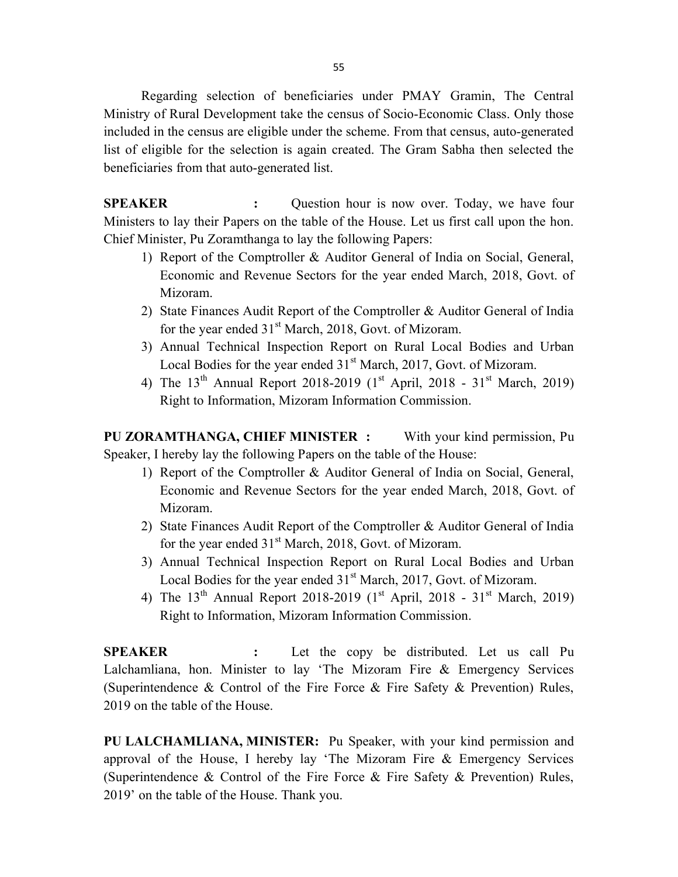55

 Regarding selection of beneficiaries under PMAY Gramin, The Central Ministry of Rural Development take the census of Socio-Economic Class. Only those included in the census are eligible under the scheme. From that census, auto-generated list of eligible for the selection is again created. The Gram Sabha then selected the beneficiaries from that auto-generated list.

SPEAKER : Question hour is now over. Today, we have four Ministers to lay their Papers on the table of the House. Let us first call upon the hon. Chief Minister, Pu Zoramthanga to lay the following Papers:

- 1) Report of the Comptroller & Auditor General of India on Social, General, Economic and Revenue Sectors for the year ended March, 2018, Govt. of Mizoram.
- 2) State Finances Audit Report of the Comptroller & Auditor General of India for the year ended  $31<sup>st</sup>$  March, 2018, Govt. of Mizoram.
- 3) Annual Technical Inspection Report on Rural Local Bodies and Urban Local Bodies for the year ended  $31<sup>st</sup> March, 2017$ , Govt. of Mizoram.
- 4) The  $13^{th}$  Annual Report 2018-2019 (1<sup>st</sup> April, 2018  $31^{st}$  March, 2019) Right to Information, Mizoram Information Commission.

PU ZORAMTHANGA, CHIEF MINISTER : With your kind permission, Pu Speaker, I hereby lay the following Papers on the table of the House:

- 1) Report of the Comptroller & Auditor General of India on Social, General, Economic and Revenue Sectors for the year ended March, 2018, Govt. of Mizoram.
- 2) State Finances Audit Report of the Comptroller & Auditor General of India for the year ended  $31<sup>st</sup>$  March, 2018, Govt. of Mizoram.
- 3) Annual Technical Inspection Report on Rural Local Bodies and Urban Local Bodies for the year ended  $31<sup>st</sup> March, 2017$ , Govt. of Mizoram.
- 4) The  $13^{th}$  Annual Report 2018-2019 (1<sup>st</sup> April, 2018  $31^{st}$  March, 2019) Right to Information, Mizoram Information Commission.

SPEAKER : Let the copy be distributed. Let us call Pu Lalchamliana, hon. Minister to lay 'The Mizoram Fire & Emergency Services (Superintendence & Control of the Fire Force & Fire Safety & Prevention) Rules, 2019 on the table of the House.

PU LALCHAMLIANA, MINISTER: Pu Speaker, with your kind permission and approval of the House, I hereby lay 'The Mizoram Fire & Emergency Services (Superintendence & Control of the Fire Force & Fire Safety & Prevention) Rules, 2019' on the table of the House. Thank you.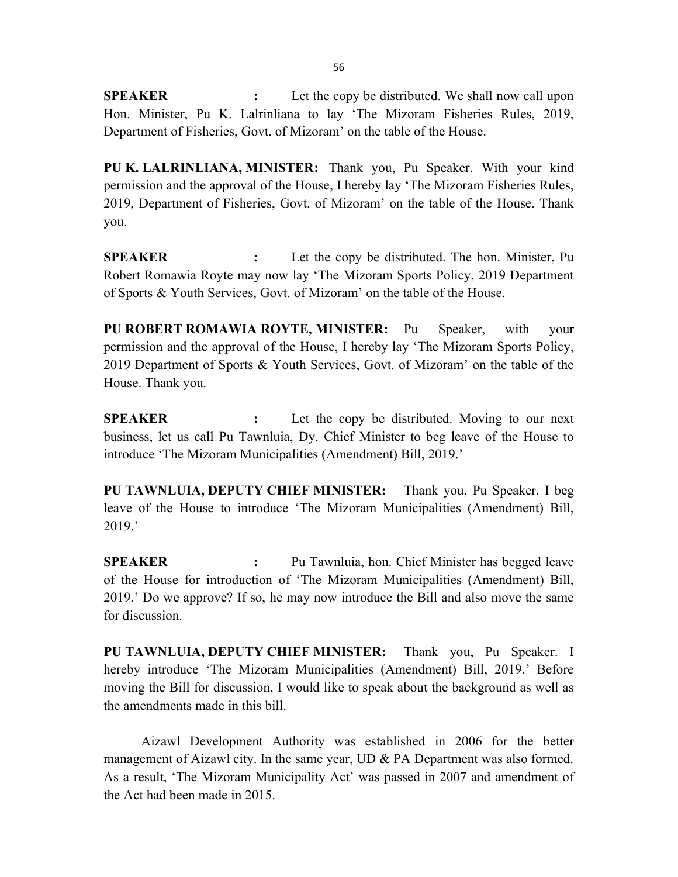**SPEAKER** : Let the copy be distributed. We shall now call upon Hon. Minister, Pu K. Lalrinliana to lay 'The Mizoram Fisheries Rules, 2019, Department of Fisheries, Govt. of Mizoram' on the table of the House.

PU K. LALRINLIANA, MINISTER: Thank you, Pu Speaker. With your kind permission and the approval of the House, I hereby lay 'The Mizoram Fisheries Rules, 2019, Department of Fisheries, Govt. of Mizoram' on the table of the House. Thank you.

SPEAKER : Let the copy be distributed. The hon. Minister, Pu Robert Romawia Royte may now lay 'The Mizoram Sports Policy, 2019 Department of Sports & Youth Services, Govt. of Mizoram' on the table of the House.

PU ROBERT ROMAWIA ROYTE, MINISTER: Pu Speaker, with your permission and the approval of the House, I hereby lay 'The Mizoram Sports Policy, 2019 Department of Sports & Youth Services, Govt. of Mizoram' on the table of the House. Thank you.

**SPEAKER** : Let the copy be distributed. Moving to our next business, let us call Pu Tawnluia, Dy. Chief Minister to beg leave of the House to introduce 'The Mizoram Municipalities (Amendment) Bill, 2019.'

PU TAWNLUIA, DEPUTY CHIEF MINISTER: Thank you, Pu Speaker. I beg leave of the House to introduce 'The Mizoram Municipalities (Amendment) Bill, 2019.'

SPEAKER : Pu Tawnluia, hon. Chief Minister has begged leave of the House for introduction of 'The Mizoram Municipalities (Amendment) Bill, 2019.' Do we approve? If so, he may now introduce the Bill and also move the same for discussion.

PU TAWNLUIA, DEPUTY CHIEF MINISTER: Thank you, Pu Speaker. I hereby introduce 'The Mizoram Municipalities (Amendment) Bill, 2019.' Before moving the Bill for discussion, I would like to speak about the background as well as the amendments made in this bill.

 Aizawl Development Authority was established in 2006 for the better management of Aizawl city. In the same year, UD & PA Department was also formed. As a result, 'The Mizoram Municipality Act' was passed in 2007 and amendment of the Act had been made in 2015.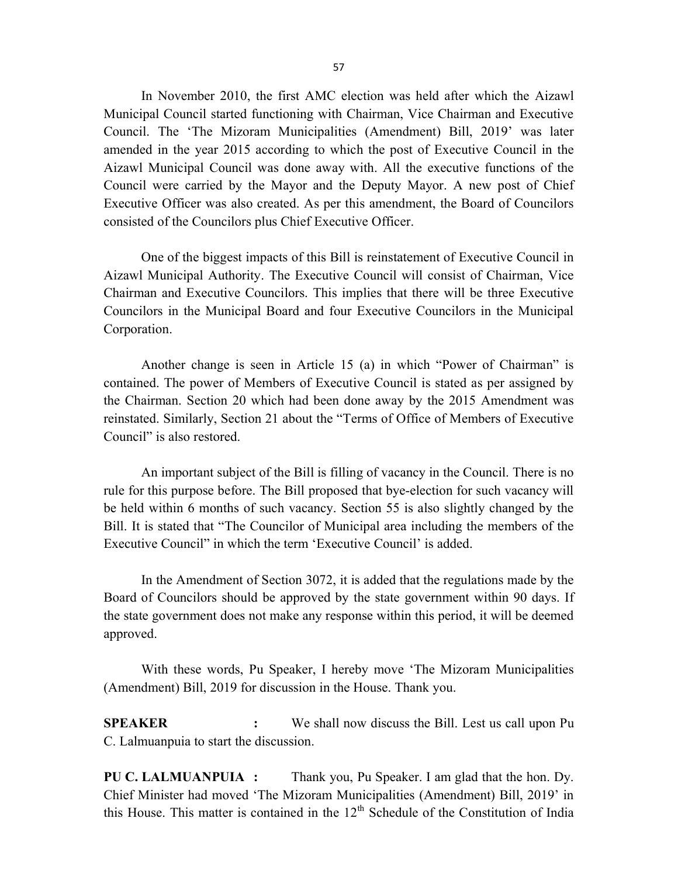In November 2010, the first AMC election was held after which the Aizawl Municipal Council started functioning with Chairman, Vice Chairman and Executive Council. The 'The Mizoram Municipalities (Amendment) Bill, 2019' was later amended in the year 2015 according to which the post of Executive Council in the Aizawl Municipal Council was done away with. All the executive functions of the Council were carried by the Mayor and the Deputy Mayor. A new post of Chief Executive Officer was also created. As per this amendment, the Board of Councilors consisted of the Councilors plus Chief Executive Officer.

 One of the biggest impacts of this Bill is reinstatement of Executive Council in Aizawl Municipal Authority. The Executive Council will consist of Chairman, Vice Chairman and Executive Councilors. This implies that there will be three Executive Councilors in the Municipal Board and four Executive Councilors in the Municipal Corporation.

 Another change is seen in Article 15 (a) in which "Power of Chairman" is contained. The power of Members of Executive Council is stated as per assigned by the Chairman. Section 20 which had been done away by the 2015 Amendment was reinstated. Similarly, Section 21 about the "Terms of Office of Members of Executive Council" is also restored.

 An important subject of the Bill is filling of vacancy in the Council. There is no rule for this purpose before. The Bill proposed that bye-election for such vacancy will be held within 6 months of such vacancy. Section 55 is also slightly changed by the Bill. It is stated that "The Councilor of Municipal area including the members of the Executive Council" in which the term 'Executive Council' is added.

 In the Amendment of Section 3072, it is added that the regulations made by the Board of Councilors should be approved by the state government within 90 days. If the state government does not make any response within this period, it will be deemed approved.

 With these words, Pu Speaker, I hereby move 'The Mizoram Municipalities (Amendment) Bill, 2019 for discussion in the House. Thank you.

SPEAKER : We shall now discuss the Bill. Lest us call upon Pu C. Lalmuanpuia to start the discussion.

PU C. LALMUANPUIA : Thank you, Pu Speaker. I am glad that the hon. Dy. Chief Minister had moved 'The Mizoram Municipalities (Amendment) Bill, 2019' in this House. This matter is contained in the  $12<sup>th</sup>$  Schedule of the Constitution of India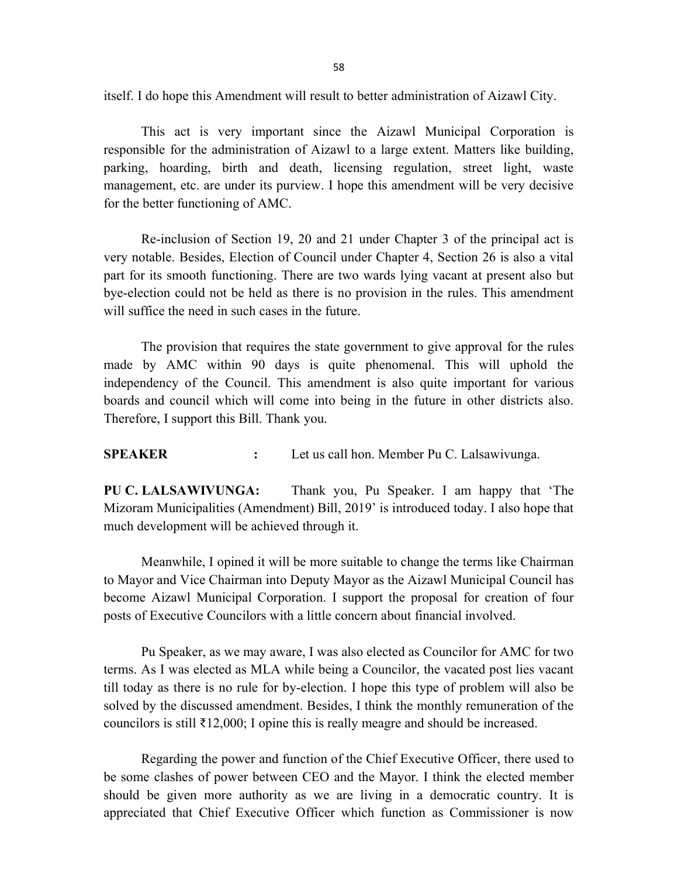itself. I do hope this Amendment will result to better administration of Aizawl City.

 This act is very important since the Aizawl Municipal Corporation is responsible for the administration of Aizawl to a large extent. Matters like building, parking, hoarding, birth and death, licensing regulation, street light, waste management, etc. are under its purview. I hope this amendment will be very decisive for the better functioning of AMC.

 Re-inclusion of Section 19, 20 and 21 under Chapter 3 of the principal act is very notable. Besides, Election of Council under Chapter 4, Section 26 is also a vital part for its smooth functioning. There are two wards lying vacant at present also but bye-election could not be held as there is no provision in the rules. This amendment will suffice the need in such cases in the future.

 The provision that requires the state government to give approval for the rules made by AMC within 90 days is quite phenomenal. This will uphold the independency of the Council. This amendment is also quite important for various boards and council which will come into being in the future in other districts also. Therefore, I support this Bill. Thank you.

SPEAKER : Let us call hon. Member Pu C. Lalsawivunga.

PU C. LALSAWIVUNGA: Thank you, Pu Speaker. I am happy that 'The Mizoram Municipalities (Amendment) Bill, 2019' is introduced today. I also hope that much development will be achieved through it.

 Meanwhile, I opined it will be more suitable to change the terms like Chairman to Mayor and Vice Chairman into Deputy Mayor as the Aizawl Municipal Council has become Aizawl Municipal Corporation. I support the proposal for creation of four posts of Executive Councilors with a little concern about financial involved.

 Pu Speaker, as we may aware, I was also elected as Councilor for AMC for two terms. As I was elected as MLA while being a Councilor, the vacated post lies vacant till today as there is no rule for by-election. I hope this type of problem will also be solved by the discussed amendment. Besides, I think the monthly remuneration of the councilors is still ₹12,000; I opine this is really meagre and should be increased.

 Regarding the power and function of the Chief Executive Officer, there used to be some clashes of power between CEO and the Mayor. I think the elected member should be given more authority as we are living in a democratic country. It is appreciated that Chief Executive Officer which function as Commissioner is now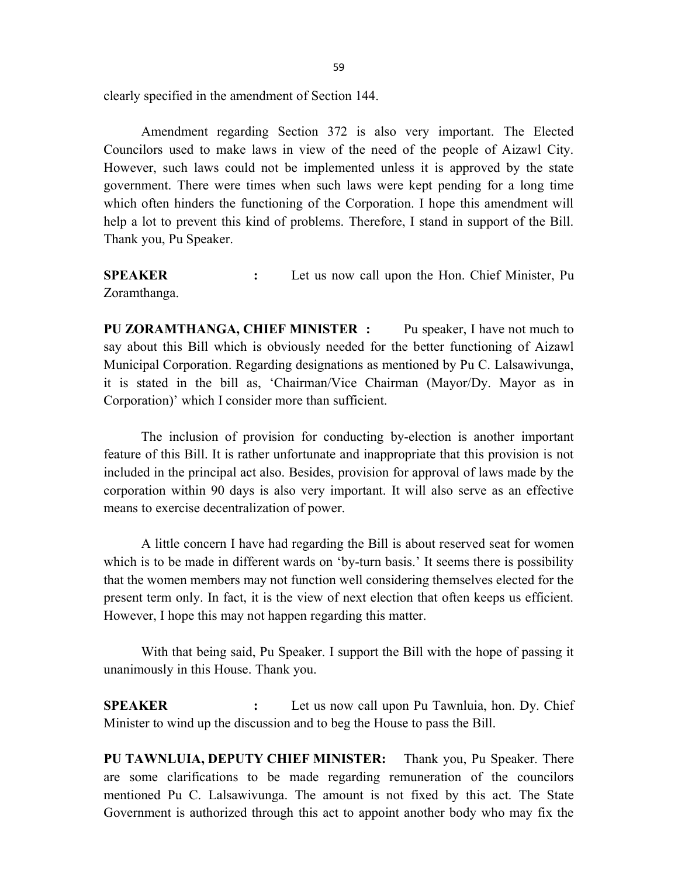clearly specified in the amendment of Section 144.

 Amendment regarding Section 372 is also very important. The Elected Councilors used to make laws in view of the need of the people of Aizawl City. However, such laws could not be implemented unless it is approved by the state government. There were times when such laws were kept pending for a long time which often hinders the functioning of the Corporation. I hope this amendment will help a lot to prevent this kind of problems. Therefore, I stand in support of the Bill. Thank you, Pu Speaker.

SPEAKER : Let us now call upon the Hon. Chief Minister, Pu Zoramthanga.

PU ZORAMTHANGA, CHIEF MINISTER : Pu speaker, I have not much to say about this Bill which is obviously needed for the better functioning of Aizawl Municipal Corporation. Regarding designations as mentioned by Pu C. Lalsawivunga, it is stated in the bill as, 'Chairman/Vice Chairman (Mayor/Dy. Mayor as in Corporation)' which I consider more than sufficient.

 The inclusion of provision for conducting by-election is another important feature of this Bill. It is rather unfortunate and inappropriate that this provision is not included in the principal act also. Besides, provision for approval of laws made by the corporation within 90 days is also very important. It will also serve as an effective means to exercise decentralization of power.

 A little concern I have had regarding the Bill is about reserved seat for women which is to be made in different wards on 'by-turn basis.' It seems there is possibility that the women members may not function well considering themselves elected for the present term only. In fact, it is the view of next election that often keeps us efficient. However, I hope this may not happen regarding this matter.

 With that being said, Pu Speaker. I support the Bill with the hope of passing it unanimously in this House. Thank you.

SPEAKER : Let us now call upon Pu Tawnluia, hon. Dy. Chief Minister to wind up the discussion and to beg the House to pass the Bill.

PU TAWNLUIA, DEPUTY CHIEF MINISTER: Thank you, Pu Speaker. There are some clarifications to be made regarding remuneration of the councilors mentioned Pu C. Lalsawivunga. The amount is not fixed by this act. The State Government is authorized through this act to appoint another body who may fix the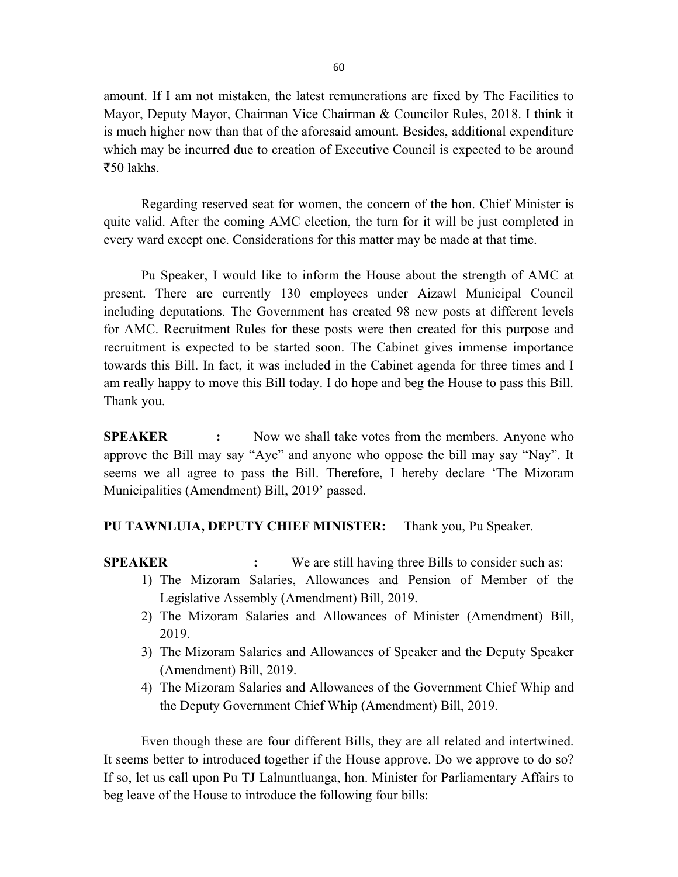amount. If I am not mistaken, the latest remunerations are fixed by The Facilities to Mayor, Deputy Mayor, Chairman Vice Chairman & Councilor Rules, 2018. I think it is much higher now than that of the aforesaid amount. Besides, additional expenditure which may be incurred due to creation of Executive Council is expected to be around  $\bar{z}$ 50 lakhs.

 Regarding reserved seat for women, the concern of the hon. Chief Minister is quite valid. After the coming AMC election, the turn for it will be just completed in every ward except one. Considerations for this matter may be made at that time.

 Pu Speaker, I would like to inform the House about the strength of AMC at present. There are currently 130 employees under Aizawl Municipal Council including deputations. The Government has created 98 new posts at different levels for AMC. Recruitment Rules for these posts were then created for this purpose and recruitment is expected to be started soon. The Cabinet gives immense importance towards this Bill. In fact, it was included in the Cabinet agenda for three times and I am really happy to move this Bill today. I do hope and beg the House to pass this Bill. Thank you.

**SPEAKER** : Now we shall take votes from the members. Anyone who approve the Bill may say "Aye" and anyone who oppose the bill may say "Nay". It seems we all agree to pass the Bill. Therefore, I hereby declare 'The Mizoram Municipalities (Amendment) Bill, 2019' passed.

#### PU TAWNLUIA, DEPUTY CHIEF MINISTER: Thank you, Pu Speaker.

SPEAKER : We are still having three Bills to consider such as:

- 1) The Mizoram Salaries, Allowances and Pension of Member of the Legislative Assembly (Amendment) Bill, 2019.
- 2) The Mizoram Salaries and Allowances of Minister (Amendment) Bill, 2019.
- 3) The Mizoram Salaries and Allowances of Speaker and the Deputy Speaker (Amendment) Bill, 2019.
- 4) The Mizoram Salaries and Allowances of the Government Chief Whip and the Deputy Government Chief Whip (Amendment) Bill, 2019.

 Even though these are four different Bills, they are all related and intertwined. It seems better to introduced together if the House approve. Do we approve to do so? If so, let us call upon Pu TJ Lalnuntluanga, hon. Minister for Parliamentary Affairs to beg leave of the House to introduce the following four bills: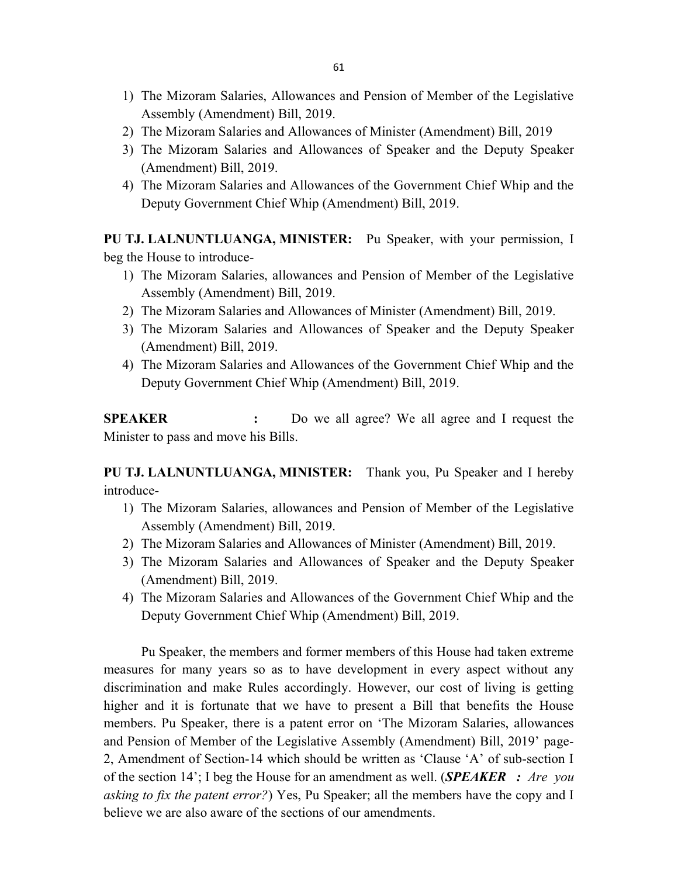- 1) The Mizoram Salaries, Allowances and Pension of Member of the Legislative Assembly (Amendment) Bill, 2019.
- 2) The Mizoram Salaries and Allowances of Minister (Amendment) Bill, 2019
- 3) The Mizoram Salaries and Allowances of Speaker and the Deputy Speaker (Amendment) Bill, 2019.
- 4) The Mizoram Salaries and Allowances of the Government Chief Whip and the Deputy Government Chief Whip (Amendment) Bill, 2019.

PU TJ. LALNUNTLUANGA, MINISTER: Pu Speaker, with your permission, I beg the House to introduce-

- 1) The Mizoram Salaries, allowances and Pension of Member of the Legislative Assembly (Amendment) Bill, 2019.
- 2) The Mizoram Salaries and Allowances of Minister (Amendment) Bill, 2019.
- 3) The Mizoram Salaries and Allowances of Speaker and the Deputy Speaker (Amendment) Bill, 2019.
- 4) The Mizoram Salaries and Allowances of the Government Chief Whip and the Deputy Government Chief Whip (Amendment) Bill, 2019.

SPEAKER : Do we all agree? We all agree and I request the Minister to pass and move his Bills.

PU TJ. LALNUNTLUANGA, MINISTER: Thank you, Pu Speaker and I hereby introduce-

- 1) The Mizoram Salaries, allowances and Pension of Member of the Legislative Assembly (Amendment) Bill, 2019.
- 2) The Mizoram Salaries and Allowances of Minister (Amendment) Bill, 2019.
- 3) The Mizoram Salaries and Allowances of Speaker and the Deputy Speaker (Amendment) Bill, 2019.
- 4) The Mizoram Salaries and Allowances of the Government Chief Whip and the Deputy Government Chief Whip (Amendment) Bill, 2019.

 Pu Speaker, the members and former members of this House had taken extreme measures for many years so as to have development in every aspect without any discrimination and make Rules accordingly. However, our cost of living is getting higher and it is fortunate that we have to present a Bill that benefits the House members. Pu Speaker, there is a patent error on 'The Mizoram Salaries, allowances and Pension of Member of the Legislative Assembly (Amendment) Bill, 2019' page-2, Amendment of Section-14 which should be written as 'Clause 'A' of sub-section I of the section 14'; I beg the House for an amendment as well. (SPEAKER : Are you asking to fix the patent error?) Yes, Pu Speaker; all the members have the copy and I believe we are also aware of the sections of our amendments.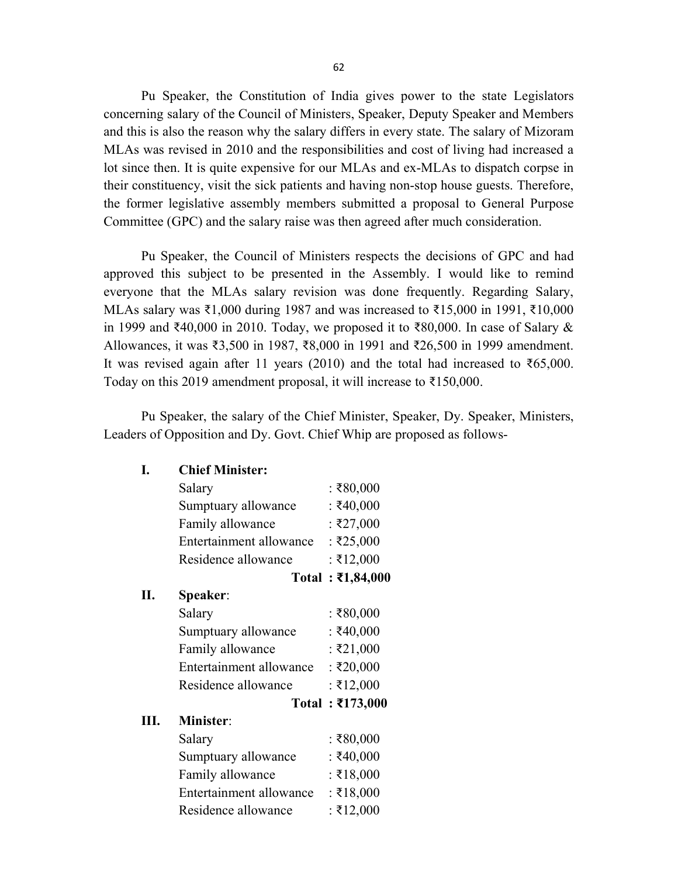Pu Speaker, the Constitution of India gives power to the state Legislators concerning salary of the Council of Ministers, Speaker, Deputy Speaker and Members and this is also the reason why the salary differs in every state. The salary of Mizoram MLAs was revised in 2010 and the responsibilities and cost of living had increased a lot since then. It is quite expensive for our MLAs and ex-MLAs to dispatch corpse in their constituency, visit the sick patients and having non-stop house guests. Therefore, the former legislative assembly members submitted a proposal to General Purpose Committee (GPC) and the salary raise was then agreed after much consideration.

 Pu Speaker, the Council of Ministers respects the decisions of GPC and had approved this subject to be presented in the Assembly. I would like to remind everyone that the MLAs salary revision was done frequently. Regarding Salary, MLAs salary was ₹1,000 during 1987 and was increased to ₹15,000 in 1991, ₹10,000 in 1999 and ₹40,000 in 2010. Today, we proposed it to ₹80,000. In case of Salary & Allowances, it was ₹3,500 in 1987, ₹8,000 in 1991 and ₹26,500 in 1999 amendment. It was revised again after 11 years (2010) and the total had increased to  $\text{\textless}65,000$ . Today on this 2019 amendment proposal, it will increase to ₹150,000.

 Pu Speaker, the salary of the Chief Minister, Speaker, Dy. Speaker, Ministers, Leaders of Opposition and Dy. Govt. Chief Whip are proposed as follows-

I. Chief Minister:

|      | Salary                  | : ₹80,000                |
|------|-------------------------|--------------------------|
|      | Sumptuary allowance     | : ₹40,000                |
|      | Family allowance        | : ₹27,000                |
|      | Entertainment allowance | : ₹25,000                |
|      | Residence allowance     | : ₹12,000                |
|      |                         | Total: ₹1,84,000         |
| Π.   | <b>Speaker:</b>         |                          |
|      | Salary                  | : ₹80,000                |
|      | Sumptuary allowance     | : ₹40,000                |
|      | Family allowance        | : ₹21,000                |
|      | Entertainment allowance | : ₹20,000                |
|      | Residence allowance     | : ₹12,000                |
|      |                         | Total: $\bar{x}$ 173,000 |
| III. | <b>Minister:</b>        |                          |
|      | Salary                  | : ₹80,000                |
|      | Sumptuary allowance     | : ₹40,000                |
|      | Family allowance        | : ₹18,000                |
|      | Entertainment allowance | : ₹18,000                |
|      | Residence allowance     | : ₹12,000                |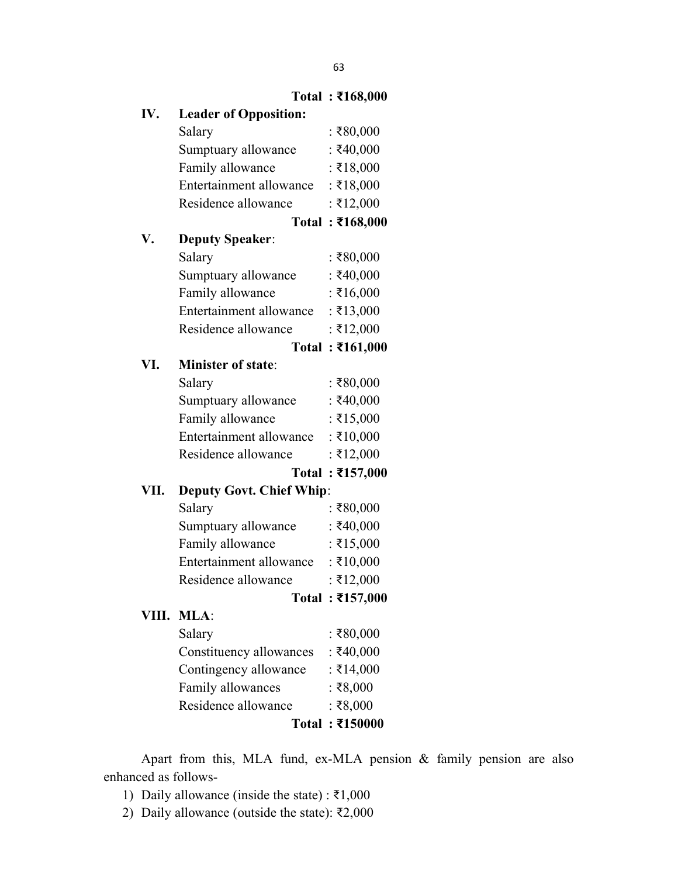|      |                                 | Total : ₹168,000 |
|------|---------------------------------|------------------|
| IV.  | <b>Leader of Opposition:</b>    |                  |
|      | Salary                          | : ₹80,000        |
|      | Sumptuary allowance             | : ₹40,000        |
|      | Family allowance                | : ₹18,000        |
|      | Entertainment allowance         | : ₹18,000        |
|      | Residence allowance             | : ₹12,000        |
|      |                                 | Total: ₹168,000  |
| V.   | <b>Deputy Speaker:</b>          |                  |
|      | Salary                          | : ₹80,000        |
|      | Sumptuary allowance             | : ₹40,000        |
|      | Family allowance                | : ₹16,000        |
|      | Entertainment allowance         | : ₹13,000        |
|      | Residence allowance             | : ₹12,000        |
|      |                                 | Total: ₹161,000  |
| VI.  | <b>Minister of state:</b>       |                  |
|      | Salary                          | : ₹80,000        |
|      | Sumptuary allowance             | : ₹40,000        |
|      | Family allowance                | $:$ ₹15,000      |
|      | Entertainment allowance         | : ₹10,000        |
|      | Residence allowance             | : ₹12,000        |
|      |                                 | Total: ₹157,000  |
| VII. | <b>Deputy Govt. Chief Whip:</b> |                  |
|      | Salary                          | : ₹80,000        |
|      | Sumptuary allowance             | : ₹40,000        |
|      | Family allowance                | : ₹15,000        |
|      | Entertainment allowance         | : ₹10,000        |
|      | Residence allowance             | : ₹12,000        |
|      |                                 | Total: ₹157,000  |
|      | VIII. MLA:                      |                  |
|      | Salary                          | : ₹80,000        |
|      | Constituency allowances         | : ₹40,000        |
|      | Contingency allowance           | $:$ ₹14,000      |
|      | Family allowances               | : ₹8,000         |
|      | Residence allowance             | : ₹8,000         |
|      |                                 | Total: ₹150000   |
|      |                                 |                  |

 Apart from this, MLA fund, ex-MLA pension & family pension are also enhanced as follows-

- 1) Daily allowance (inside the state) :  $\bar{\tau}1,000$
- 2) Daily allowance (outside the state): ₹2,000

# $T_{\text{total}}$  :  $\frac{1}{2}168,000$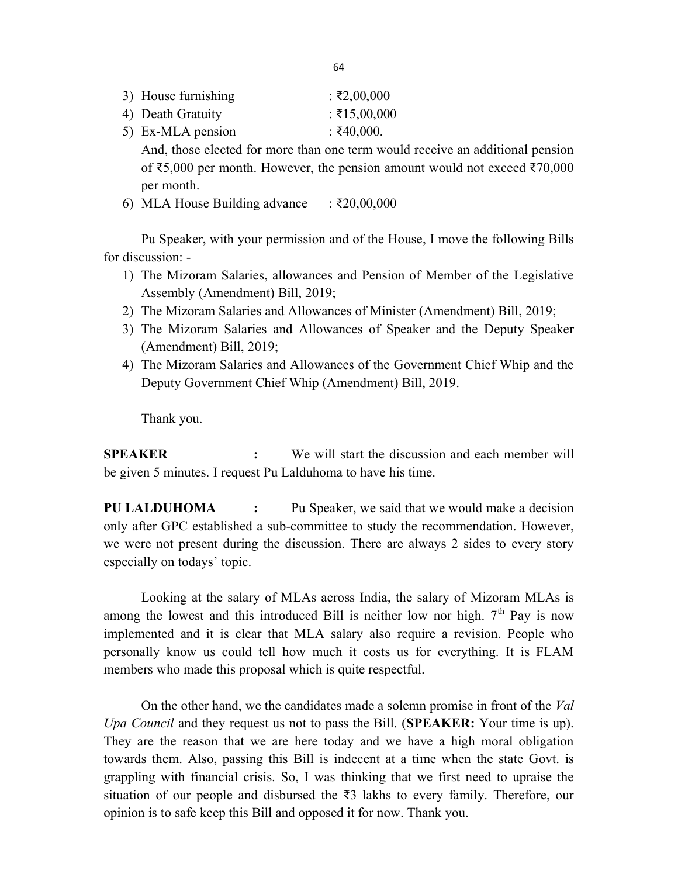| 3) House furnishing | $: \xi2,00,000$ |
|---------------------|-----------------|
| 4) Death Gratuity   | $:$ ₹15,00,000  |
| 5) Ex-MLA pension   | $:$ ₹40,000.    |

And, those elected for more than one term would receive an additional pension of ₹5,000 per month. However, the pension amount would not exceed ₹70,000 per month.

6) MLA House Building advance  $\therefore$  ₹20,00,000

 Pu Speaker, with your permission and of the House, I move the following Bills for discussion: -

- 1) The Mizoram Salaries, allowances and Pension of Member of the Legislative Assembly (Amendment) Bill, 2019;
- 2) The Mizoram Salaries and Allowances of Minister (Amendment) Bill, 2019;
- 3) The Mizoram Salaries and Allowances of Speaker and the Deputy Speaker (Amendment) Bill, 2019;
- 4) The Mizoram Salaries and Allowances of the Government Chief Whip and the Deputy Government Chief Whip (Amendment) Bill, 2019.

Thank you.

SPEAKER : We will start the discussion and each member will be given 5 minutes. I request Pu Lalduhoma to have his time.

PU LALDUHOMA : Pu Speaker, we said that we would make a decision only after GPC established a sub-committee to study the recommendation. However, we were not present during the discussion. There are always 2 sides to every story especially on todays' topic.

 Looking at the salary of MLAs across India, the salary of Mizoram MLAs is among the lowest and this introduced Bill is neither low nor high.  $7<sup>th</sup>$  Pay is now implemented and it is clear that MLA salary also require a revision. People who personally know us could tell how much it costs us for everything. It is FLAM members who made this proposal which is quite respectful.

 On the other hand, we the candidates made a solemn promise in front of the Val Upa Council and they request us not to pass the Bill. (SPEAKER: Your time is up). They are the reason that we are here today and we have a high moral obligation towards them. Also, passing this Bill is indecent at a time when the state Govt. is grappling with financial crisis. So, I was thinking that we first need to upraise the situation of our people and disbursed the ₹3 lakhs to every family. Therefore, our opinion is to safe keep this Bill and opposed it for now. Thank you.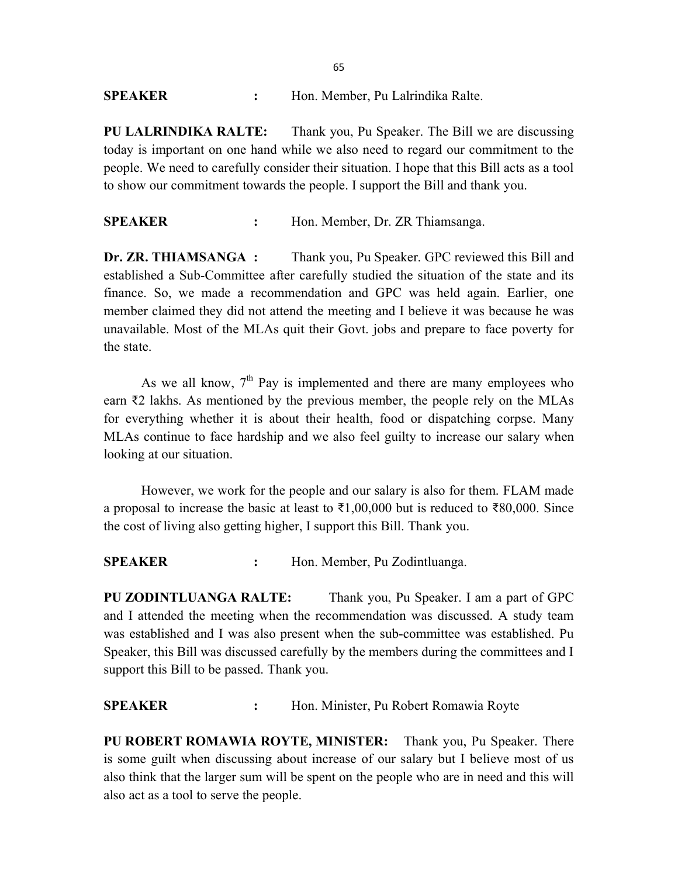### SPEAKER : Hon. Member, Pu Lalrindika Ralte.

PU LALRINDIKA RALTE: Thank you, Pu Speaker. The Bill we are discussing today is important on one hand while we also need to regard our commitment to the people. We need to carefully consider their situation. I hope that this Bill acts as a tool to show our commitment towards the people. I support the Bill and thank you.

SPEAKER : Hon. Member, Dr. ZR Thiamsanga.

Dr. ZR. THIAMSANGA : Thank you, Pu Speaker. GPC reviewed this Bill and established a Sub-Committee after carefully studied the situation of the state and its finance. So, we made a recommendation and GPC was held again. Earlier, one member claimed they did not attend the meeting and I believe it was because he was unavailable. Most of the MLAs quit their Govt. jobs and prepare to face poverty for the state.

As we all know,  $7<sup>th</sup>$  Pay is implemented and there are many employees who earn ₹2 lakhs. As mentioned by the previous member, the people rely on the MLAs for everything whether it is about their health, food or dispatching corpse. Many MLAs continue to face hardship and we also feel guilty to increase our salary when looking at our situation.

 However, we work for the people and our salary is also for them. FLAM made a proposal to increase the basic at least to  $\text{\textless}1,00,000$  but is reduced to  $\text{\less}80,000$ . Since the cost of living also getting higher, I support this Bill. Thank you.

SPEAKER : Hon. Member, Pu Zodintluanga.

PU ZODINTLUANGA RALTE: Thank you, Pu Speaker. I am a part of GPC and I attended the meeting when the recommendation was discussed. A study team was established and I was also present when the sub-committee was established. Pu Speaker, this Bill was discussed carefully by the members during the committees and I support this Bill to be passed. Thank you.

### SPEAKER : Hon. Minister, Pu Robert Romawia Royte

PU ROBERT ROMAWIA ROYTE, MINISTER: Thank you, Pu Speaker. There is some guilt when discussing about increase of our salary but I believe most of us also think that the larger sum will be spent on the people who are in need and this will also act as a tool to serve the people.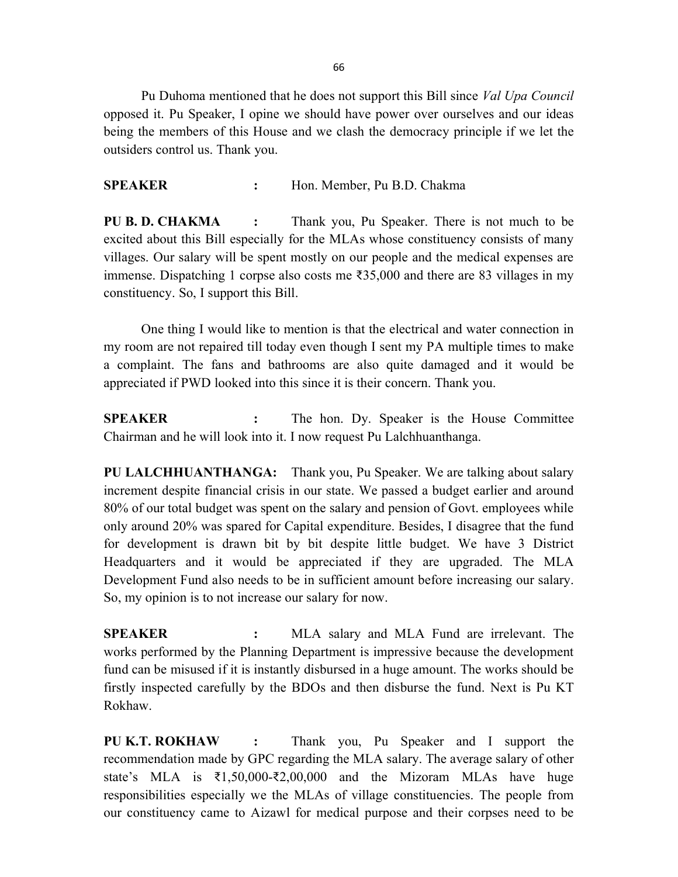66

Pu Duhoma mentioned that he does not support this Bill since *Val Upa Council* opposed it. Pu Speaker, I opine we should have power over ourselves and our ideas being the members of this House and we clash the democracy principle if we let the outsiders control us. Thank you.

SPEAKER : Hon. Member, Pu B.D. Chakma

PU B. D. CHAKMA : Thank you, Pu Speaker. There is not much to be excited about this Bill especially for the MLAs whose constituency consists of many villages. Our salary will be spent mostly on our people and the medical expenses are immense. Dispatching 1 corpse also costs me ₹35,000 and there are 83 villages in my constituency. So, I support this Bill.

 One thing I would like to mention is that the electrical and water connection in my room are not repaired till today even though I sent my PA multiple times to make a complaint. The fans and bathrooms are also quite damaged and it would be appreciated if PWD looked into this since it is their concern. Thank you.

SPEAKER : The hon. Dy. Speaker is the House Committee Chairman and he will look into it. I now request Pu Lalchhuanthanga.

PU LALCHHUANTHANGA: Thank you, Pu Speaker. We are talking about salary increment despite financial crisis in our state. We passed a budget earlier and around 80% of our total budget was spent on the salary and pension of Govt. employees while only around 20% was spared for Capital expenditure. Besides, I disagree that the fund for development is drawn bit by bit despite little budget. We have 3 District Headquarters and it would be appreciated if they are upgraded. The MLA Development Fund also needs to be in sufficient amount before increasing our salary. So, my opinion is to not increase our salary for now.

SPEAKER : MLA salary and MLA Fund are irrelevant. The works performed by the Planning Department is impressive because the development fund can be misused if it is instantly disbursed in a huge amount. The works should be firstly inspected carefully by the BDOs and then disburse the fund. Next is Pu KT Rokhaw.

PU K.T. ROKHAW : Thank you, Pu Speaker and I support the recommendation made by GPC regarding the MLA salary. The average salary of other state's MLA is ₹1,50,000-₹2,00,000 and the Mizoram MLAs have huge responsibilities especially we the MLAs of village constituencies. The people from our constituency came to Aizawl for medical purpose and their corpses need to be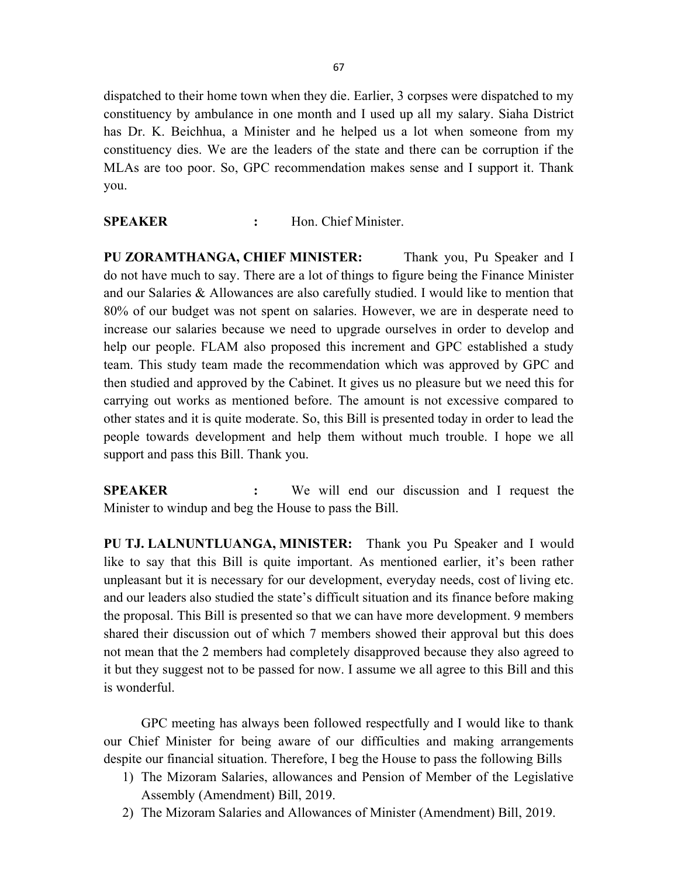dispatched to their home town when they die. Earlier, 3 corpses were dispatched to my constituency by ambulance in one month and I used up all my salary. Siaha District has Dr. K. Beichhua, a Minister and he helped us a lot when someone from my constituency dies. We are the leaders of the state and there can be corruption if the MLAs are too poor. So, GPC recommendation makes sense and I support it. Thank you.

#### SPEAKER : Hon. Chief Minister.

PU ZORAMTHANGA, CHIEF MINISTER: Thank you, Pu Speaker and I do not have much to say. There are a lot of things to figure being the Finance Minister and our Salaries & Allowances are also carefully studied. I would like to mention that 80% of our budget was not spent on salaries. However, we are in desperate need to increase our salaries because we need to upgrade ourselves in order to develop and help our people. FLAM also proposed this increment and GPC established a study team. This study team made the recommendation which was approved by GPC and then studied and approved by the Cabinet. It gives us no pleasure but we need this for carrying out works as mentioned before. The amount is not excessive compared to other states and it is quite moderate. So, this Bill is presented today in order to lead the people towards development and help them without much trouble. I hope we all support and pass this Bill. Thank you.

SPEAKER : We will end our discussion and I request the Minister to windup and beg the House to pass the Bill.

PU TJ. LALNUNTLUANGA, MINISTER: Thank you Pu Speaker and I would like to say that this Bill is quite important. As mentioned earlier, it's been rather unpleasant but it is necessary for our development, everyday needs, cost of living etc. and our leaders also studied the state's difficult situation and its finance before making the proposal. This Bill is presented so that we can have more development. 9 members shared their discussion out of which 7 members showed their approval but this does not mean that the 2 members had completely disapproved because they also agreed to it but they suggest not to be passed for now. I assume we all agree to this Bill and this is wonderful.

 GPC meeting has always been followed respectfully and I would like to thank our Chief Minister for being aware of our difficulties and making arrangements despite our financial situation. Therefore, I beg the House to pass the following Bills

- 1) The Mizoram Salaries, allowances and Pension of Member of the Legislative Assembly (Amendment) Bill, 2019.
- 2) The Mizoram Salaries and Allowances of Minister (Amendment) Bill, 2019.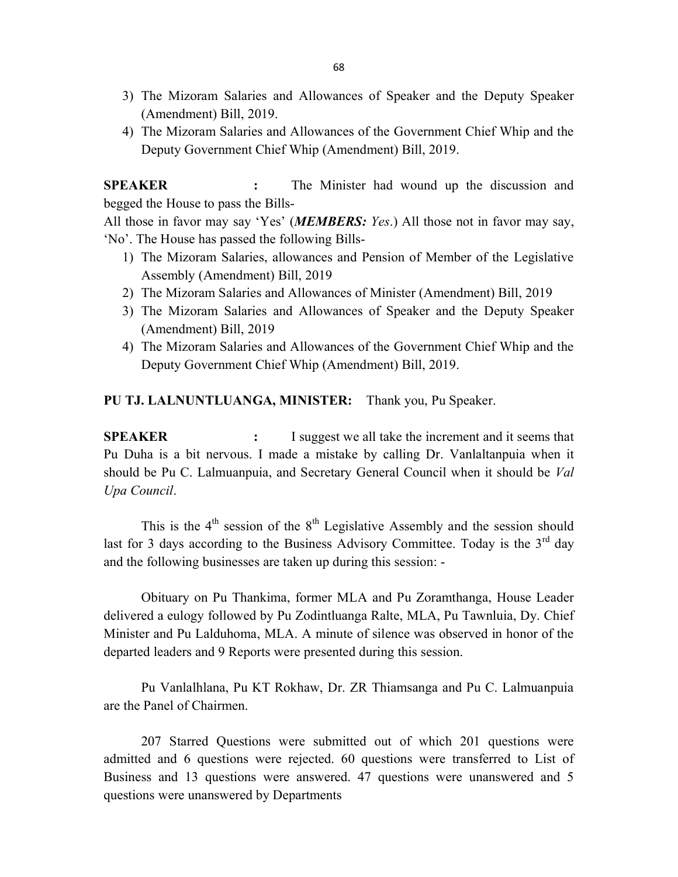- 3) The Mizoram Salaries and Allowances of Speaker and the Deputy Speaker (Amendment) Bill, 2019.
- 4) The Mizoram Salaries and Allowances of the Government Chief Whip and the Deputy Government Chief Whip (Amendment) Bill, 2019.

SPEAKER : The Minister had wound up the discussion and begged the House to pass the Bills-

All those in favor may say 'Yes' (MEMBERS: Yes.) All those not in favor may say, 'No'. The House has passed the following Bills-

- 1) The Mizoram Salaries, allowances and Pension of Member of the Legislative Assembly (Amendment) Bill, 2019
- 2) The Mizoram Salaries and Allowances of Minister (Amendment) Bill, 2019
- 3) The Mizoram Salaries and Allowances of Speaker and the Deputy Speaker (Amendment) Bill, 2019
- 4) The Mizoram Salaries and Allowances of the Government Chief Whip and the Deputy Government Chief Whip (Amendment) Bill, 2019.

#### PU TJ. LALNUNTLUANGA, MINISTER: Thank you, Pu Speaker.

**SPEAKER** : I suggest we all take the increment and it seems that Pu Duha is a bit nervous. I made a mistake by calling Dr. Vanlaltanpuia when it should be Pu C. Lalmuanpuia, and Secretary General Council when it should be Val Upa Council.

This is the  $4<sup>th</sup>$  session of the  $8<sup>th</sup>$  Legislative Assembly and the session should last for 3 days according to the Business Advisory Committee. Today is the  $3<sup>rd</sup>$  day and the following businesses are taken up during this session: -

 Obituary on Pu Thankima, former MLA and Pu Zoramthanga, House Leader delivered a eulogy followed by Pu Zodintluanga Ralte, MLA, Pu Tawnluia, Dy. Chief Minister and Pu Lalduhoma, MLA. A minute of silence was observed in honor of the departed leaders and 9 Reports were presented during this session.

 Pu Vanlalhlana, Pu KT Rokhaw, Dr. ZR Thiamsanga and Pu C. Lalmuanpuia are the Panel of Chairmen.

 207 Starred Questions were submitted out of which 201 questions were admitted and 6 questions were rejected. 60 questions were transferred to List of Business and 13 questions were answered. 47 questions were unanswered and 5 questions were unanswered by Departments